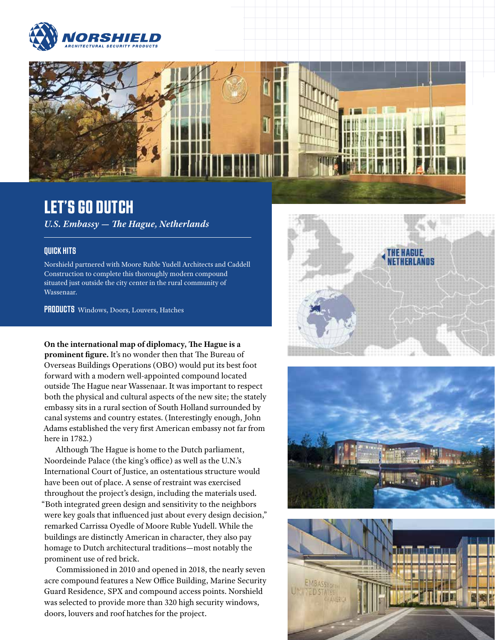



# LET'S GO DUTCH

*U.S. Embassy — The Hague, Netherlands*

#### QUICK HITS

Norshield partnered with Moore Ruble Yudell Architects and Caddell Construction to complete this thoroughly modern compound situated just outside the city center in the rural community of Wassenaar.

PRODUCTS Windows, Doors, Louvers, Hatches

**On the international map of diplomacy, The Hague is a prominent figure.** It's no wonder then that The Bureau of Overseas Buildings Operations (OBO) would put its best foot forward with a modern well-appointed compound located outside The Hague near Wassenaar. It was important to respect both the physical and cultural aspects of the new site; the stately embassy sits in a rural section of South Holland surrounded by canal systems and country estates. (Interestingly enough, John Adams established the very first American embassy not far from here in 1782.)

Although The Hague is home to the Dutch parliament, Noordeinde Palace (the king's office) as well as the U.N.'s International Court of Justice, an ostentatious structure would have been out of place. A sense of restraint was exercised throughout the project's design, including the materials used. "Both integrated green design and sensitivity to the neighbors were key goals that influenced just about every design decision," remarked Carrissa Oyedle of Moore Ruble Yudell. While the buildings are distinctly American in character, they also pay homage to Dutch architectural traditions—most notably the prominent use of red brick.

Commissioned in 2010 and opened in 2018, the nearly seven acre compound features a New Office Building, Marine Security Guard Residence, SPX and compound access points. Norshield was selected to provide more than 320 high security windows, doors, louvers and roof hatches for the project.